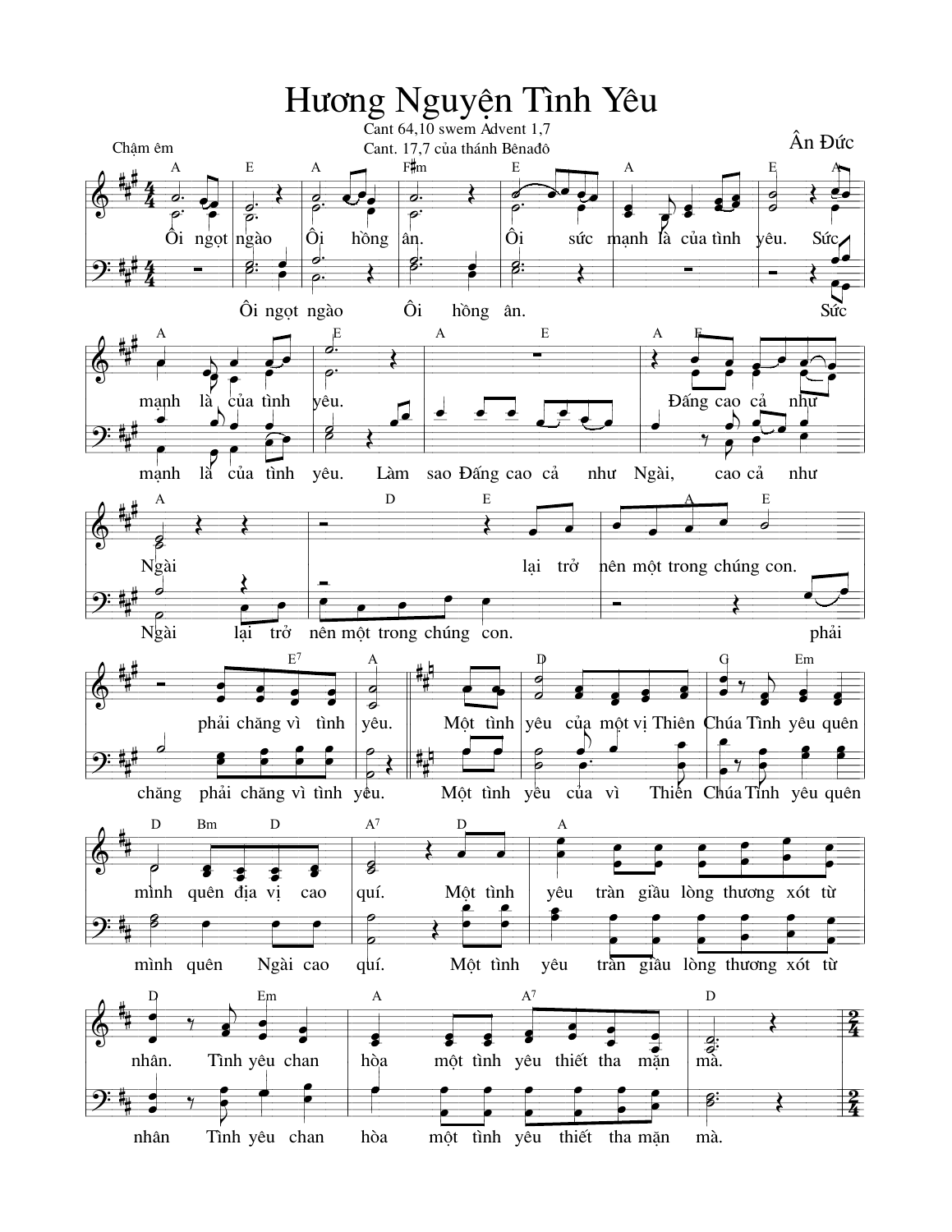